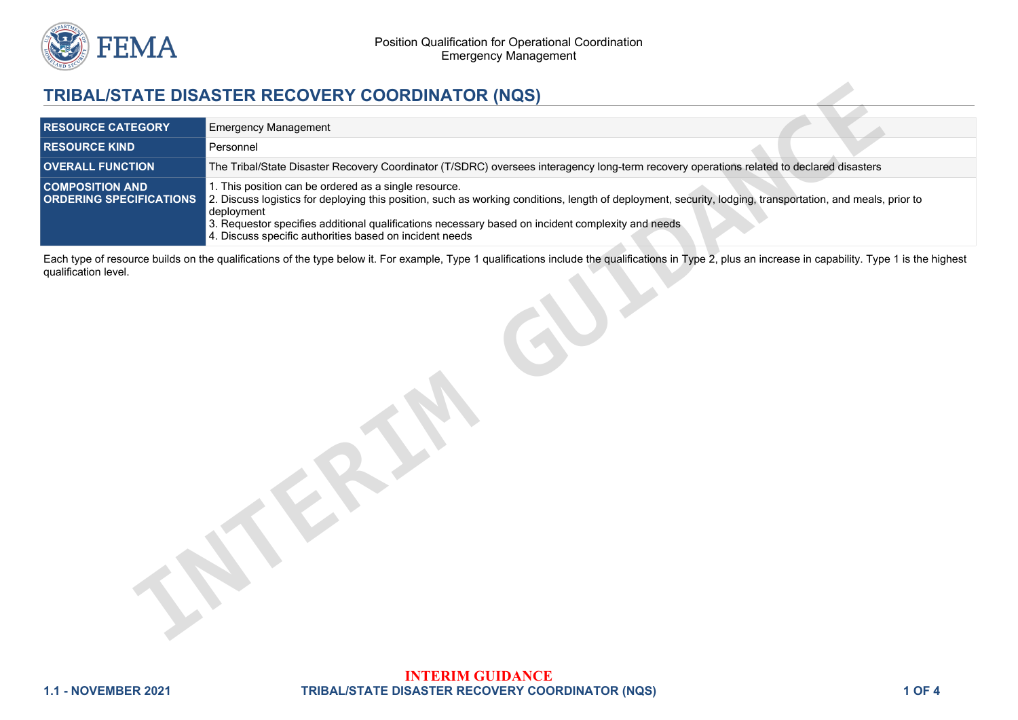

## **TRIBAL/STATE DISASTER RECOVERY COORDINATOR (NQS)**

|                                                          | TRIBAL/STATE DISASTER RECOVERY COORDINATOR (NQS)                                                                                                                                                                                                                                                                                                                                                  |  |
|----------------------------------------------------------|---------------------------------------------------------------------------------------------------------------------------------------------------------------------------------------------------------------------------------------------------------------------------------------------------------------------------------------------------------------------------------------------------|--|
| <b>RESOURCE CATEGORY</b>                                 | <b>Emergency Management</b>                                                                                                                                                                                                                                                                                                                                                                       |  |
| <b>RESOURCE KIND</b>                                     | Personnel                                                                                                                                                                                                                                                                                                                                                                                         |  |
| <b>OVERALL FUNCTION</b>                                  | The Tribal/State Disaster Recovery Coordinator (T/SDRC) oversees interagency long-term recovery operations related to declared disasters                                                                                                                                                                                                                                                          |  |
| <b>COMPOSITION AND</b><br><b>ORDERING SPECIFICATIONS</b> | 1. This position can be ordered as a single resource.<br>2. Discuss logistics for deploying this position, such as working conditions, length of deployment, security, lodging, transportation, and meals, prior to<br>deployment<br>3. Requestor specifies additional qualifications necessary based on incident complexity and needs<br>4. Discuss specific authorities based on incident needs |  |
| qualification level.                                     | Each type of resource builds on the qualifications of the type below it. For example, Type 1 qualifications include the qualifications in Type 2, plus an increase in capability. Type 1 is the highest                                                                                                                                                                                           |  |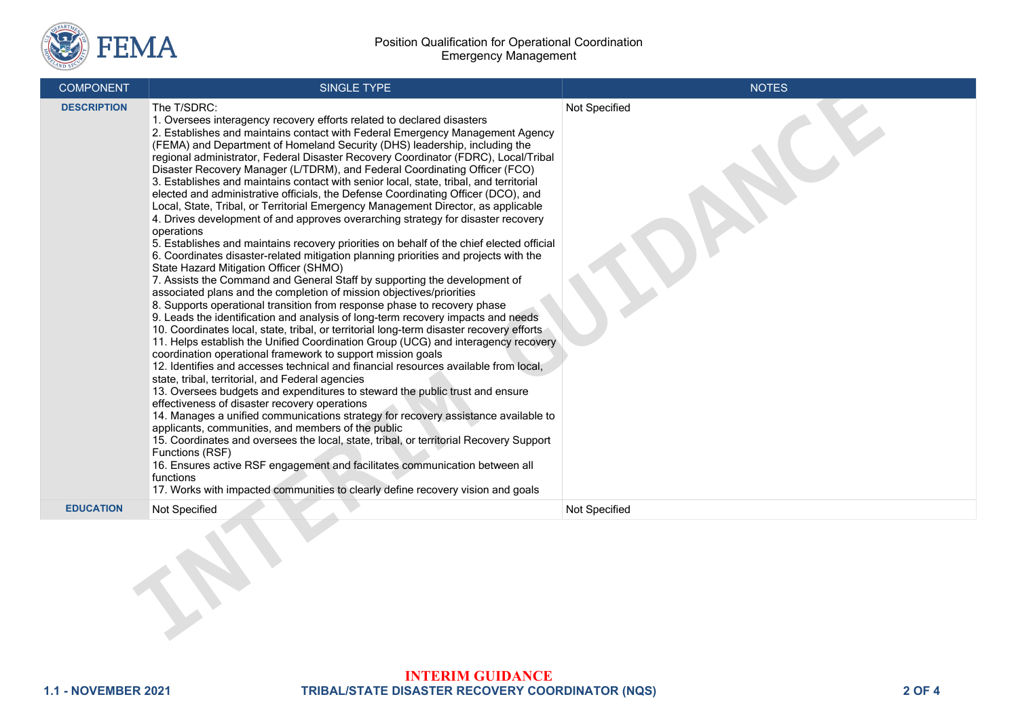

| <b>COMPONENT</b>   | SINGLE TYPE                                                                                                                                                                                                                                                                                                                                                                                                                                                                                                                                                                                                                                                                                                                                                                                                                                                                                                                                                                                                                                                                                                                                                                                                                                                                                                                                                                                                                                                                                                                                                                                                                                                                                                                                                                                                                                                                                                                                                                                                                                                                                                                                                                                                                                                                                                           | <b>NOTES</b>  |
|--------------------|-----------------------------------------------------------------------------------------------------------------------------------------------------------------------------------------------------------------------------------------------------------------------------------------------------------------------------------------------------------------------------------------------------------------------------------------------------------------------------------------------------------------------------------------------------------------------------------------------------------------------------------------------------------------------------------------------------------------------------------------------------------------------------------------------------------------------------------------------------------------------------------------------------------------------------------------------------------------------------------------------------------------------------------------------------------------------------------------------------------------------------------------------------------------------------------------------------------------------------------------------------------------------------------------------------------------------------------------------------------------------------------------------------------------------------------------------------------------------------------------------------------------------------------------------------------------------------------------------------------------------------------------------------------------------------------------------------------------------------------------------------------------------------------------------------------------------------------------------------------------------------------------------------------------------------------------------------------------------------------------------------------------------------------------------------------------------------------------------------------------------------------------------------------------------------------------------------------------------------------------------------------------------------------------------------------------------|---------------|
| <b>DESCRIPTION</b> | The T/SDRC:<br>1. Oversees interagency recovery efforts related to declared disasters<br>2. Establishes and maintains contact with Federal Emergency Management Agency<br>(FEMA) and Department of Homeland Security (DHS) leadership, including the<br>regional administrator, Federal Disaster Recovery Coordinator (FDRC), Local/Tribal<br>Disaster Recovery Manager (L/TDRM), and Federal Coordinating Officer (FCO)<br>3. Establishes and maintains contact with senior local, state, tribal, and territorial<br>elected and administrative officials, the Defense Coordinating Officer (DCO), and<br>Local, State, Tribal, or Territorial Emergency Management Director, as applicable<br>4. Drives development of and approves overarching strategy for disaster recovery<br>operations<br>5. Establishes and maintains recovery priorities on behalf of the chief elected official<br>6. Coordinates disaster-related mitigation planning priorities and projects with the<br>State Hazard Mitigation Officer (SHMO)<br>7. Assists the Command and General Staff by supporting the development of<br>associated plans and the completion of mission objectives/priorities<br>8. Supports operational transition from response phase to recovery phase<br>9. Leads the identification and analysis of long-term recovery impacts and needs<br>10. Coordinates local, state, tribal, or territorial long-term disaster recovery efforts<br>11. Helps establish the Unified Coordination Group (UCG) and interagency recovery<br>coordination operational framework to support mission goals<br>12. Identifies and accesses technical and financial resources available from local,<br>state, tribal, territorial, and Federal agencies<br>13. Oversees budgets and expenditures to steward the public trust and ensure<br>effectiveness of disaster recovery operations<br>14. Manages a unified communications strategy for recovery assistance available to<br>applicants, communities, and members of the public<br>15. Coordinates and oversees the local, state, tribal, or territorial Recovery Support<br>Functions (RSF)<br>16. Ensures active RSF engagement and facilitates communication between all<br>functions<br>17. Works with impacted communities to clearly define recovery vision and goals | Not Specified |
| <b>EDUCATION</b>   | Not Specified                                                                                                                                                                                                                                                                                                                                                                                                                                                                                                                                                                                                                                                                                                                                                                                                                                                                                                                                                                                                                                                                                                                                                                                                                                                                                                                                                                                                                                                                                                                                                                                                                                                                                                                                                                                                                                                                                                                                                                                                                                                                                                                                                                                                                                                                                                         | Not Specified |
|                    |                                                                                                                                                                                                                                                                                                                                                                                                                                                                                                                                                                                                                                                                                                                                                                                                                                                                                                                                                                                                                                                                                                                                                                                                                                                                                                                                                                                                                                                                                                                                                                                                                                                                                                                                                                                                                                                                                                                                                                                                                                                                                                                                                                                                                                                                                                                       |               |

## **INTERIM GUIDANCE 1.1 - NOVEMBER 2021 TRIBAL/STATE DISASTER RECOVERY COORDINATOR (NQS) 2 OF 4**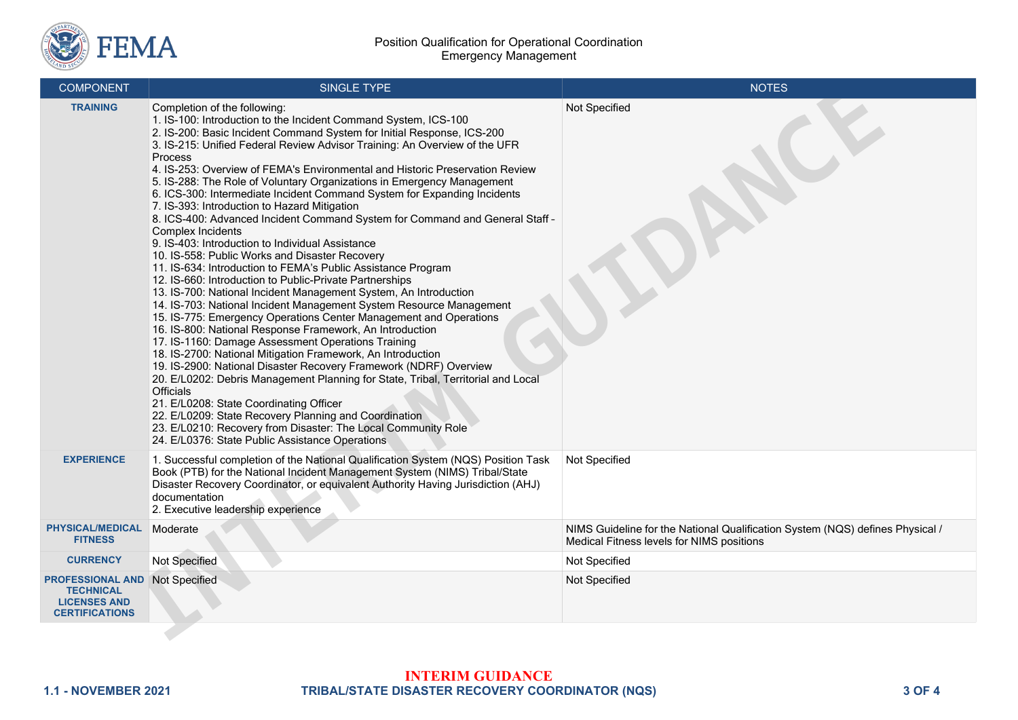

| <b>COMPONENT</b>                                                                            | SINGLE TYPE                                                                                                                                                                                                                                                                                                                                                                                                                                                                                                                                                                                                                                                                                                                                                                                                                                                                                                                                                                                                                                                                                                                                                                                                                                                                                                                                                                                                                                                                                                                                                                                                                                                                                   | <b>NOTES</b>                                                                                                               |
|---------------------------------------------------------------------------------------------|-----------------------------------------------------------------------------------------------------------------------------------------------------------------------------------------------------------------------------------------------------------------------------------------------------------------------------------------------------------------------------------------------------------------------------------------------------------------------------------------------------------------------------------------------------------------------------------------------------------------------------------------------------------------------------------------------------------------------------------------------------------------------------------------------------------------------------------------------------------------------------------------------------------------------------------------------------------------------------------------------------------------------------------------------------------------------------------------------------------------------------------------------------------------------------------------------------------------------------------------------------------------------------------------------------------------------------------------------------------------------------------------------------------------------------------------------------------------------------------------------------------------------------------------------------------------------------------------------------------------------------------------------------------------------------------------------|----------------------------------------------------------------------------------------------------------------------------|
| <b>TRAINING</b>                                                                             | Completion of the following:<br>1. IS-100: Introduction to the Incident Command System, ICS-100<br>2. IS-200: Basic Incident Command System for Initial Response, ICS-200<br>3. IS-215: Unified Federal Review Advisor Training: An Overview of the UFR<br>Process<br>4. IS-253: Overview of FEMA's Environmental and Historic Preservation Review<br>5. IS-288: The Role of Voluntary Organizations in Emergency Management<br>6. ICS-300: Intermediate Incident Command System for Expanding Incidents<br>7. IS-393: Introduction to Hazard Mitigation<br>8. ICS-400: Advanced Incident Command System for Command and General Staff -<br>Complex Incidents<br>9. IS-403: Introduction to Individual Assistance<br>10. IS-558: Public Works and Disaster Recovery<br>11. IS-634: Introduction to FEMA's Public Assistance Program<br>12. IS-660: Introduction to Public-Private Partnerships<br>13. IS-700: National Incident Management System, An Introduction<br>14. IS-703: National Incident Management System Resource Management<br>15. IS-775: Emergency Operations Center Management and Operations<br>16. IS-800: National Response Framework, An Introduction<br>17. IS-1160: Damage Assessment Operations Training<br>18. IS-2700: National Mitigation Framework, An Introduction<br>19. IS-2900: National Disaster Recovery Framework (NDRF) Overview<br>20. E/L0202: Debris Management Planning for State, Tribal, Territorial and Local<br>Officials<br>21. E/L0208: State Coordinating Officer<br>22. E/L0209: State Recovery Planning and Coordination<br>23. E/L0210: Recovery from Disaster: The Local Community Role<br>24. E/L0376: State Public Assistance Operations | Not Specified                                                                                                              |
| <b>EXPERIENCE</b>                                                                           | 1. Successful completion of the National Qualification System (NQS) Position Task<br>Book (PTB) for the National Incident Management System (NIMS) Tribal/State<br>Disaster Recovery Coordinator, or equivalent Authority Having Jurisdiction (AHJ)<br>documentation<br>2. Executive leadership experience                                                                                                                                                                                                                                                                                                                                                                                                                                                                                                                                                                                                                                                                                                                                                                                                                                                                                                                                                                                                                                                                                                                                                                                                                                                                                                                                                                                    | Not Specified                                                                                                              |
| <b>PHYSICAL/MEDICAL</b><br><b>FITNESS</b>                                                   | Moderate                                                                                                                                                                                                                                                                                                                                                                                                                                                                                                                                                                                                                                                                                                                                                                                                                                                                                                                                                                                                                                                                                                                                                                                                                                                                                                                                                                                                                                                                                                                                                                                                                                                                                      | NIMS Guideline for the National Qualification System (NQS) defines Physical /<br>Medical Fitness levels for NIMS positions |
| <b>CURRENCY</b>                                                                             | <b>Not Specified</b>                                                                                                                                                                                                                                                                                                                                                                                                                                                                                                                                                                                                                                                                                                                                                                                                                                                                                                                                                                                                                                                                                                                                                                                                                                                                                                                                                                                                                                                                                                                                                                                                                                                                          | Not Specified                                                                                                              |
| <b>PROFESSIONAL AND</b><br><b>TECHNICAL</b><br><b>LICENSES AND</b><br><b>CERTIFICATIONS</b> | Not Specified                                                                                                                                                                                                                                                                                                                                                                                                                                                                                                                                                                                                                                                                                                                                                                                                                                                                                                                                                                                                                                                                                                                                                                                                                                                                                                                                                                                                                                                                                                                                                                                                                                                                                 | Not Specified                                                                                                              |
|                                                                                             |                                                                                                                                                                                                                                                                                                                                                                                                                                                                                                                                                                                                                                                                                                                                                                                                                                                                                                                                                                                                                                                                                                                                                                                                                                                                                                                                                                                                                                                                                                                                                                                                                                                                                               |                                                                                                                            |